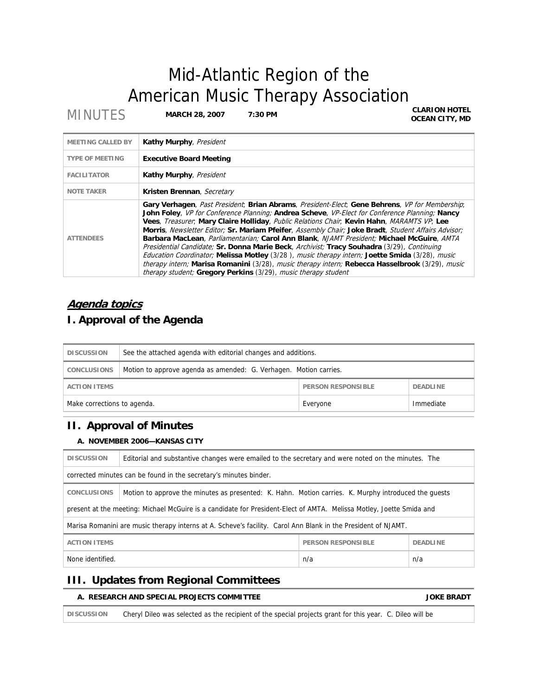# Mid-Atlantic Region of the American Music Therapy Association<br>CLARION HOTEL

**MINUTES** MARCH 28, 2007 7:30 PM

**OCEAN CITY, MD**

| <b>MEETING CALLED BY</b> | Kathy Murphy, President                                                                                                                                                                                                                                                                                                                                                                                                                                                                                                                                                                                                                                                                                                                                                                                                                                                 |
|--------------------------|-------------------------------------------------------------------------------------------------------------------------------------------------------------------------------------------------------------------------------------------------------------------------------------------------------------------------------------------------------------------------------------------------------------------------------------------------------------------------------------------------------------------------------------------------------------------------------------------------------------------------------------------------------------------------------------------------------------------------------------------------------------------------------------------------------------------------------------------------------------------------|
| <b>TYPE OF MEETING</b>   | <b>Executive Board Meeting</b>                                                                                                                                                                                                                                                                                                                                                                                                                                                                                                                                                                                                                                                                                                                                                                                                                                          |
| <b>FACILITATOR</b>       | Kathy Murphy, President                                                                                                                                                                                                                                                                                                                                                                                                                                                                                                                                                                                                                                                                                                                                                                                                                                                 |
| <b>NOTE TAKER</b>        | Kristen Brennan, Secretary                                                                                                                                                                                                                                                                                                                                                                                                                                                                                                                                                                                                                                                                                                                                                                                                                                              |
| <b>ATTENDEES</b>         | Gary Verhagen, Past President; Brian Abrams, President-Elect; Gene Behrens, VP for Membership;<br>John Foley, VP for Conference Planning; Andrea Scheve, VP-Elect for Conference Planning; Nancy<br>Vees, Treasurer, Mary Claire Holliday, Public Relations Chair, Kevin Hahn, MARAMTS VP, Lee<br>Morris, Newsletter Editor; Sr. Mariam Pfeifer, Assembly Chair; Joke Bradt, Student Affairs Advisor;<br>Barbara MacLean, Parliamentarian; Carol Ann Blank, NJAMT President; Michael McGuire, AMTA<br>Presidential Candidate; Sr. Donna Marie Beck, Archivist; Tracy Souhadra (3/29), Continuing<br>Education Coordinator; Melissa Motley (3/28), music therapy intern; Joette Smida (3/28), music<br>therapy intern; Marisa Romanini (3/28), music therapy intern; Rebecca Hasselbrook (3/29), music<br>therapy student; Gregory Perkins (3/29), music therapy student |

# **Agenda topics**

# **I. Approval of the Agenda**

| <b>DISCUSSION</b>                                                   | See the attached agenda with editorial changes and additions.     |          |           |
|---------------------------------------------------------------------|-------------------------------------------------------------------|----------|-----------|
| <b>CONCLUSIONS</b>                                                  | Motion to approve agenda as amended: G. Verhagen. Motion carries. |          |           |
| <b>PERSON RESPONSIBLE</b><br><b>ACTION ITEMS</b><br><b>DEADLINE</b> |                                                                   |          |           |
| Make corrections to agenda.                                         |                                                                   | Everyone | Immediate |

# **II. Approval of Minutes**

# **A. NOVEMBER 2006—KANSAS CITY**

| <b>DISCUSSION</b>                                                                                                    | Editorial and substantive changes were emailed to the secretary and were noted on the minutes. The   |                           |                 |
|----------------------------------------------------------------------------------------------------------------------|------------------------------------------------------------------------------------------------------|---------------------------|-----------------|
| corrected minutes can be found in the secretary's minutes binder.                                                    |                                                                                                      |                           |                 |
| <b>CONCLUSIONS</b>                                                                                                   | Motion to approve the minutes as presented: K. Hahn. Motion carries. K. Murphy introduced the quests |                           |                 |
| present at the meeting: Michael McGuire is a candidate for President-Elect of AMTA. Melissa Motley, Joette Smida and |                                                                                                      |                           |                 |
| Marisa Romanini are music therapy interns at A. Scheve's facility. Carol Ann Blank in the President of NJAMT.        |                                                                                                      |                           |                 |
| <b>ACTION ITEMS</b>                                                                                                  |                                                                                                      | <b>PERSON RESPONSIBLE</b> | <b>DEADLINE</b> |
| None identified.<br>n/a<br>n/a                                                                                       |                                                                                                      |                           |                 |

# **III. Updates from Regional Committees**

# **A. RESEARCH AND SPECIAL PROJECTS COMMITTEE AND SEXUAL SERVICE SERVICE BRADT**

**DISCUSSION** Cheryl Dileo was selected as the recipient of the special projects grant for this year. C. Dileo will be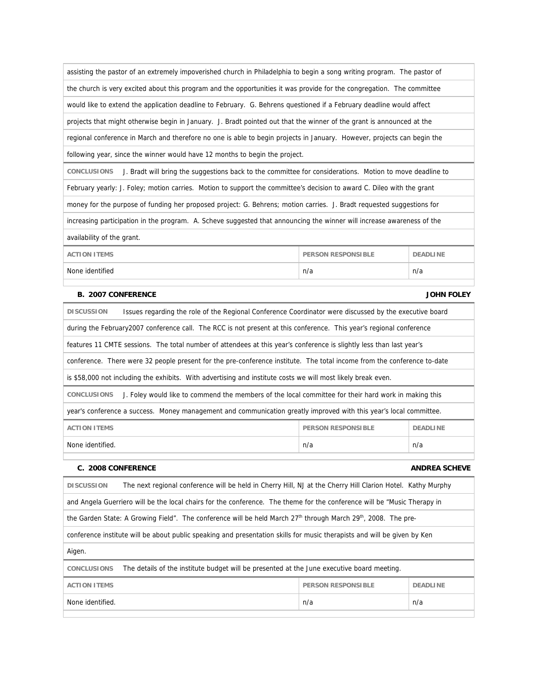| assisting the pastor of an extremely impoverished church in Philadelphia to begin a song writing program. The pastor of        |                           |                 |
|--------------------------------------------------------------------------------------------------------------------------------|---------------------------|-----------------|
| the church is very excited about this program and the opportunities it was provide for the congregation. The committee         |                           |                 |
| would like to extend the application deadline to February. G. Behrens questioned if a February deadline would affect           |                           |                 |
| projects that might otherwise begin in January. J. Bradt pointed out that the winner of the grant is announced at the          |                           |                 |
| regional conference in March and therefore no one is able to begin projects in January. However, projects can begin the        |                           |                 |
| following year, since the winner would have 12 months to begin the project.                                                    |                           |                 |
| J. Bradt will bring the suggestions back to the committee for considerations. Motion to move deadline to<br><b>CONCLUSIONS</b> |                           |                 |
| February yearly: J. Foley; motion carries. Motion to support the committee's decision to award C. Dileo with the grant         |                           |                 |
| money for the purpose of funding her proposed project: G. Behrens; motion carries. J. Bradt requested suggestions for          |                           |                 |
| increasing participation in the program. A. Scheve suggested that announcing the winner will increase awareness of the         |                           |                 |
| availability of the grant.                                                                                                     |                           |                 |
| <b>ACTION ITEMS</b>                                                                                                            | <b>PERSON RESPONSIBLE</b> | <b>DEADLINE</b> |
| None identified                                                                                                                | n/a                       | n/a             |

# **B. 2007 CONFERENCE AND STRUCK SERVICE SERVICE SERVICE SERVICE SERVICE SERVICE SERVICE SERVICE SERVICE SERVICE SERVICE SERVICE SERVICE SERVICE SERVICE SERVICE SERVICE SERVICE SERVICE SERVICE SERVICE SERVICE SERVICE SERVICE**

| <b>DISCUSSION</b>                                                                                                          | Issues regarding the role of the Regional Conference Coordinator were discussed by the executive board               |                           |                 |  |
|----------------------------------------------------------------------------------------------------------------------------|----------------------------------------------------------------------------------------------------------------------|---------------------------|-----------------|--|
|                                                                                                                            | during the February 2007 conference call. The RCC is not present at this conference. This year's regional conference |                           |                 |  |
|                                                                                                                            | features 11 CMTE sessions. The total number of attendees at this year's conference is slightly less than last year's |                           |                 |  |
| conference. There were 32 people present for the pre-conference institute. The total income from the conference to-date    |                                                                                                                      |                           |                 |  |
| is \$58,000 not including the exhibits. With advertising and institute costs we will most likely break even.               |                                                                                                                      |                           |                 |  |
| <b>CONCLUSIONS</b><br>J. Foley would like to commend the members of the local committee for their hard work in making this |                                                                                                                      |                           |                 |  |
| year's conference a success. Money management and communication greatly improved with this year's local committee.         |                                                                                                                      |                           |                 |  |
| <b>ACTION ITEMS</b>                                                                                                        |                                                                                                                      | <b>PERSON RESPONSIBLE</b> | <b>DEADLINE</b> |  |
| None identified.                                                                                                           |                                                                                                                      | n/a                       | n/a             |  |
|                                                                                                                            |                                                                                                                      |                           |                 |  |

# **C. 2008 CONFERENCE ANDREA SCHEVE**

| <b>DISCUSSION</b>                                                                                                        | The next regional conference will be held in Cherry Hill, NJ at the Cherry Hill Clarion Hotel. Kathy Murphy                            |                           |                 |  |
|--------------------------------------------------------------------------------------------------------------------------|----------------------------------------------------------------------------------------------------------------------------------------|---------------------------|-----------------|--|
| and Angela Guerriero will be the local chairs for the conference. The theme for the conference will be "Music Therapy in |                                                                                                                                        |                           |                 |  |
|                                                                                                                          | the Garden State: A Growing Field". The conference will be held March 27 <sup>th</sup> through March 29 <sup>th</sup> , 2008. The pre- |                           |                 |  |
| conference institute will be about public speaking and presentation skills for music therapists and will be given by Ken |                                                                                                                                        |                           |                 |  |
| Aigen.                                                                                                                   |                                                                                                                                        |                           |                 |  |
| The details of the institute budget will be presented at the June executive board meeting.<br><b>CONCLUSIONS</b>         |                                                                                                                                        |                           |                 |  |
| <b>ACTION ITEMS</b>                                                                                                      |                                                                                                                                        | <b>PERSON RESPONSIBLE</b> | <b>DEADLINE</b> |  |
| None identified.                                                                                                         |                                                                                                                                        | n/a                       | n/a             |  |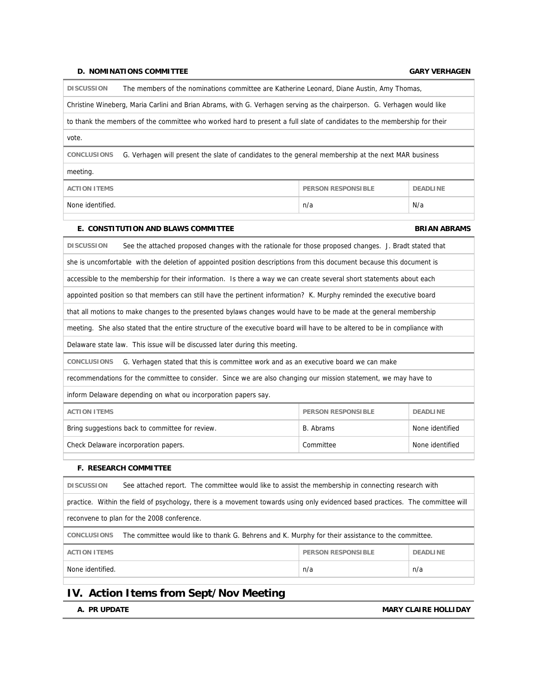### **D. NOMINATIONS COMMITTEE GARY VERHAGEN**

**DISCUSSION** The members of the nominations committee are Katherine Leonard, Diane Austin, Amy Thomas,

Christine Wineberg, Maria Carlini and Brian Abrams, with G. Verhagen serving as the chairperson. G. Verhagen would like

to thank the members of the committee who worked hard to present a full slate of candidates to the membership for their

vote.

**CONCLUSIONS** G. Verhagen will present the slate of candidates to the general membership at the next MAR business

meeting.

| <b>ACTION ITEMS</b>     | <b>PERSON RESPONSIBLE</b> | <b>DEADLINE</b> |
|-------------------------|---------------------------|-----------------|
| None identified.<br>n/a |                           | N/a             |

### **E. CONSTITUTION AND BLAWS COMMITTEE ASSESSED ASSESSED ASSESSED BRIAN ABRAMS**

**DISCUSSION** See the attached proposed changes with the rationale for those proposed changes. J. Bradt stated that she is uncomfortable with the deletion of appointed position descriptions from this document because this document is accessible to the membership for their information. Is there a way we can create several short statements about each appointed position so that members can still have the pertinent information? K. Murphy reminded the executive board that all motions to make changes to the presented bylaws changes would have to be made at the general membership meeting. She also stated that the entire structure of the executive board will have to be altered to be in compliance with Delaware state law. This issue will be discussed later during this meeting. **CONCLUSIONS** G. Verhagen stated that this is committee work and as an executive board we can make recommendations for the committee to consider. Since we are also changing our mission statement, we may have to inform Delaware depending on what ou incorporation papers say. **ACTION ITEMS** PERSON RESPONSIBLE **PERSON RESPONSIBLE** Bring suggestions back to committee for review. B. Abrams None identified Check Delaware incorporation papers. Check Delaware incorporation papers. Check Delaware incorporation papers.

### **F. RESEARCH COMMITTEE**

| <b>DISCUSSION</b>                                                                                                       | See attached report. The committee would like to assist the membership in connecting research with                             |                           |                 |
|-------------------------------------------------------------------------------------------------------------------------|--------------------------------------------------------------------------------------------------------------------------------|---------------------------|-----------------|
|                                                                                                                         | practice. Within the field of psychology, there is a movement towards using only evidenced based practices. The committee will |                           |                 |
| reconvene to plan for the 2008 conference.                                                                              |                                                                                                                                |                           |                 |
| The committee would like to thank G. Behrens and K. Murphy for their assistance to the committee.<br><b>CONCLUSIONS</b> |                                                                                                                                |                           |                 |
| <b>ACTION ITEMS</b>                                                                                                     |                                                                                                                                | <b>PERSON RESPONSIBLE</b> | <b>DEADLINE</b> |
| None identified.                                                                                                        |                                                                                                                                | n/a                       | n/a             |
|                                                                                                                         |                                                                                                                                |                           |                 |

# **IV. Action Items from Sept/Nov Meeting**

**A. PR UPDATE A. PROPOSITY CLAIRE HOLLIDAY**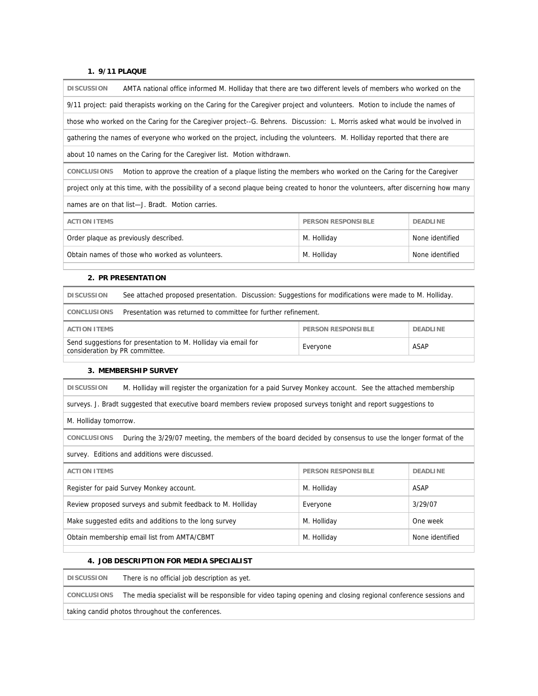# **1. 9/11 PLAQUE**

| AMTA national office informed M. Holliday that there are two different levels of members who worked on the<br><b>DISCUSSION</b>     |                           |                 |
|-------------------------------------------------------------------------------------------------------------------------------------|---------------------------|-----------------|
| 9/11 project: paid therapists working on the Caring for the Caregiver project and volunteers. Motion to include the names of        |                           |                 |
| those who worked on the Caring for the Caregiver project--G. Behrens. Discussion: L. Morris asked what would be involved in         |                           |                 |
| gathering the names of everyone who worked on the project, including the volunteers. M. Holliday reported that there are            |                           |                 |
| about 10 names on the Caring for the Caregiver list. Motion withdrawn.                                                              |                           |                 |
| <b>CONCLUSIONS</b><br>Motion to approve the creation of a plaque listing the members who worked on the Caring for the Caregiver     |                           |                 |
| project only at this time, with the possibility of a second plaque being created to honor the volunteers, after discerning how many |                           |                 |
| names are on that list—J. Bradt. Motion carries.                                                                                    |                           |                 |
| <b>ACTION ITEMS</b>                                                                                                                 | <b>PERSON RESPONSIBLE</b> | <b>DEADLINE</b> |
| Order plaque as previously described.                                                                                               | M. Holliday               | None identified |
| Obtain names of those who worked as volunteers.                                                                                     | M. Holliday               | None identified |

### **2. PR PRESENTATION**

| <b>DISCUSSION</b>                                                                                | See attached proposed presentation. Discussion: Suggestions for modifications were made to M. Holliday. |                           |          |
|--------------------------------------------------------------------------------------------------|---------------------------------------------------------------------------------------------------------|---------------------------|----------|
| CONCLUSIONS                                                                                      | Presentation was returned to committee for further refinement.                                          |                           |          |
| <b>ACTION ITEMS</b>                                                                              |                                                                                                         | <b>PERSON RESPONSIBLE</b> | DEADLINE |
| Send suggestions for presentation to M. Holliday via email for<br>consideration by PR committee. |                                                                                                         | Everyone                  | ASAP     |

### **3. MEMBERSHIP SURVEY**

**DISCUSSION** M. Holliday will register the organization for a paid Survey Monkey account. See the attached membership

surveys. J. Bradt suggested that executive board members review proposed surveys tonight and report suggestions to

M. Holliday tomorrow.

**CONCLUSIONS** During the 3/29/07 meeting, the members of the board decided by consensus to use the longer format of the

survey. Editions and additions were discussed.

| <b>ACTION ITEMS</b>                                        | <b>PERSON RESPONSIBLE</b> | <b>DEADLINE</b> |
|------------------------------------------------------------|---------------------------|-----------------|
| Register for paid Survey Monkey account.                   | M. Holliday               | ASAP            |
| Review proposed surveys and submit feedback to M. Holliday | Everyone                  | 3/29/07         |
| Make suggested edits and additions to the long survey      | M. Holliday               | One week        |
| Obtain membership email list from AMTA/CBMT                | M. Holliday               | None identified |
|                                                            |                           |                 |

# **4. JOB DESCRIPTION FOR MEDIA SPECIALIST**

**DISCUSSION** There is no official job description as yet.

**CONCLUSIONS** The media specialist will be responsible for video taping opening and closing regional conference sessions and

taking candid photos throughout the conferences.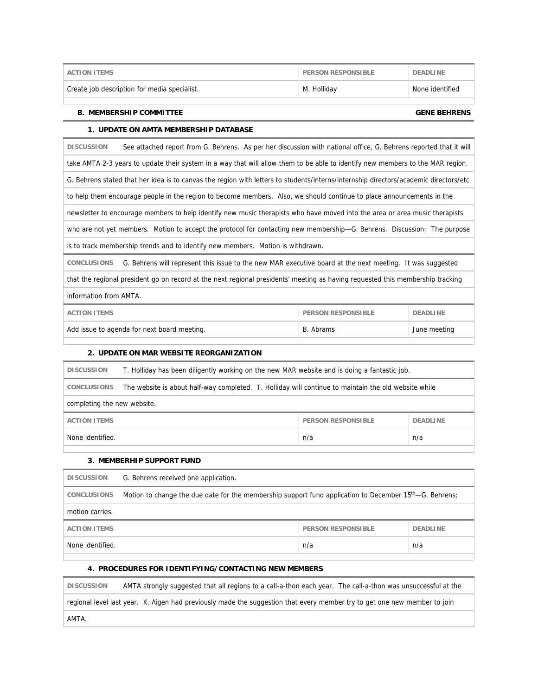| Create job description for media specialist. | M. Hollidav | None identified |
|----------------------------------------------|-------------|-----------------|

## **B. MEMBERSHIP COMMITTEE GENE BEHRENS**

# **1. UPDATE ON AMTA MEMBERSHIP DATABASE**

**DISCUSSION** See attached report from G. Behrens. As per her discussion with national office, G. Behrens reported that it will take AMTA 2-3 years to update their system in a way that will allow them to be able to identify new members to the MAR region. G. Behrens stated that her idea is to canvas the region with letters to students/interns/internship directors/academic directors/etc to help them encourage people in the region to become members. Also, we should continue to place announcements in the newsletter to encourage members to help identify new music therapists who have moved into the area or area music therapists who are not yet members. Motion to accept the protocol for contacting new membership—G. Behrens. Discussion: The purpose is to track membership trends and to identify new members. Motion is withdrawn. **CONCLUSIONS** G. Behrens will represent this issue to the new MAR executive board at the next meeting. It was suggested that the regional president go on record at the next regional presidents' meeting as having requested this membership tracking information from AMTA.

| Add issue to agenda for next board meeting. | B. Abrams                 | June meeting    |
|---------------------------------------------|---------------------------|-----------------|
| ACTION ITEMS                                | <b>PERSON RESPONSIBLE</b> | <b>DEADLINE</b> |

# **2. UPDATE ON MAR WEBSITE REORGANIZATION**

| T. Holliday has been diligently working on the new MAR website and is doing a fantastic job.<br><b>DISCUSSION</b>          |  |  |  |  |
|----------------------------------------------------------------------------------------------------------------------------|--|--|--|--|
| The website is about half-way completed. T. Holliday will continue to maintain the old website while<br><b>CONCLUSIONS</b> |  |  |  |  |
| completing the new website.                                                                                                |  |  |  |  |
| <b>PERSON RESPONSIBLE</b><br><b>DEADLINE</b><br><b>ACTION ITEMS</b>                                                        |  |  |  |  |
| None identified.<br>n/a<br>n/a                                                                                             |  |  |  |  |

# **3. MEMBERHIP SUPPORT FUND**

| <b>DISCUSSION</b>   | G. Behrens received one application.                                                                                |                           |                 |
|---------------------|---------------------------------------------------------------------------------------------------------------------|---------------------------|-----------------|
| <b>CONCLUSIONS</b>  | Motion to change the due date for the membership support fund application to December 15 <sup>th</sup> —G. Behrens; |                           |                 |
| motion carries.     |                                                                                                                     |                           |                 |
| <b>ACTION ITEMS</b> |                                                                                                                     | <b>PERSON RESPONSIBLE</b> | <b>DEADLINE</b> |
| None identified.    |                                                                                                                     | n/a                       | n/a             |
|                     |                                                                                                                     |                           |                 |

### **4. PROCEDURES FOR IDENTIFYING/CONTACTING NEW MEMBERS**

**DISCUSSION** AMTA strongly suggested that all regions to a call-a-thon each year. The call-a-thon was unsuccessful at the

regional level last year. K. Aigen had previously made the suggestion that every member try to get one new member to join

AMTA.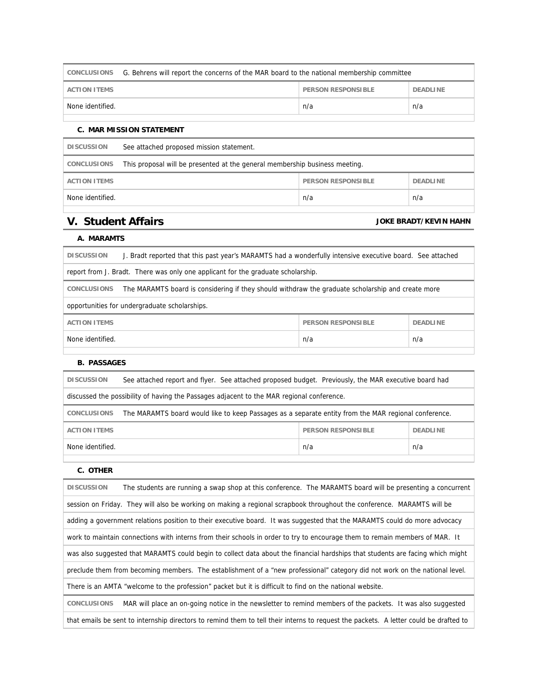| CONCLUSIONS G. Behrens will report the concerns of the MAR board to the national membership committee |                                              |     |     |  |
|-------------------------------------------------------------------------------------------------------|----------------------------------------------|-----|-----|--|
| <b>ACTION ITEMS</b>                                                                                   | <b>PERSON RESPONSIBLE</b><br><b>DEADLINE</b> |     |     |  |
| None identified.                                                                                      |                                              | n/a | n/a |  |
|                                                                                                       |                                              |     |     |  |

# **C. MAR MISSION STATEMENT**

| <b>DISCUSSION</b>   | See attached proposed mission statement.                                    |     |     |  |
|---------------------|-----------------------------------------------------------------------------|-----|-----|--|
| <b>CONCLUSIONS</b>  | This proposal will be presented at the general membership business meeting. |     |     |  |
| <b>ACTION ITEMS</b> | <b>PERSON RESPONSIBLE</b><br><b>DEADLINE</b>                                |     |     |  |
| None identified.    |                                                                             | n/a | n/a |  |
|                     |                                                                             |     |     |  |

# **V. Student Affairs V. Student Affairs**

# **A. MARAMTS**

| <b>DISCUSSION</b><br>J. Bradt reported that this past year's MARAMTS had a wonderfully intensive executive board. See attached |  |  |  |
|--------------------------------------------------------------------------------------------------------------------------------|--|--|--|
| report from J. Bradt. There was only one applicant for the graduate scholarship.                                               |  |  |  |
| The MARAMTS board is considering if they should withdraw the graduate scholarship and create more<br><b>CONCLUSIONS</b>        |  |  |  |
| opportunities for undergraduate scholarships.                                                                                  |  |  |  |
| <b>ACTION ITEMS</b><br><b>PERSON RESPONSIBLE</b><br><b>DEADLINE</b>                                                            |  |  |  |
| None identified.<br>n/a<br>n/a                                                                                                 |  |  |  |
|                                                                                                                                |  |  |  |

# **B. PASSAGES**

| <b>DISCUSSION</b>                                                                                                          | See attached report and flyer. See attached proposed budget. Previously, the MAR executive board had |                    |                 |
|----------------------------------------------------------------------------------------------------------------------------|------------------------------------------------------------------------------------------------------|--------------------|-----------------|
| discussed the possibility of having the Passages adjacent to the MAR regional conference.                                  |                                                                                                      |                    |                 |
| The MARAMTS board would like to keep Passages as a separate entity from the MAR regional conference.<br><b>CONCLUSIONS</b> |                                                                                                      |                    |                 |
| <b>ACTION ITEMS</b>                                                                                                        |                                                                                                      | PERSON RESPONSIBLE | <b>DEADLINE</b> |
| None identified.                                                                                                           |                                                                                                      | n/a                | n/a             |

# **C. OTHER**

| <b>DISCUSSION</b><br>The students are running a swap shop at this conference. The MARAMTS board will be presenting a concurrent       |
|---------------------------------------------------------------------------------------------------------------------------------------|
| session on Friday. They will also be working on making a regional scrapbook throughout the conference. MARAMTS will be                |
| adding a government relations position to their executive board. It was suggested that the MARAMTS could do more advocacy             |
| work to maintain connections with interns from their schools in order to try to encourage them to remain members of MAR. It           |
| was also suggested that MARAMTS could begin to collect data about the financial hardships that students are facing which might        |
| preclude them from becoming members. The establishment of a "new professional" category did not work on the national level.           |
| There is an AMTA "welcome to the profession" packet but it is difficult to find on the national website.                              |
| <b>CONCLUSIONS</b><br>MAR will place an on-going notice in the newsletter to remind members of the packets. It was also suggested     |
| that emails be sent to internship directors to remind them to tell their interns to request the packets. A letter could be drafted to |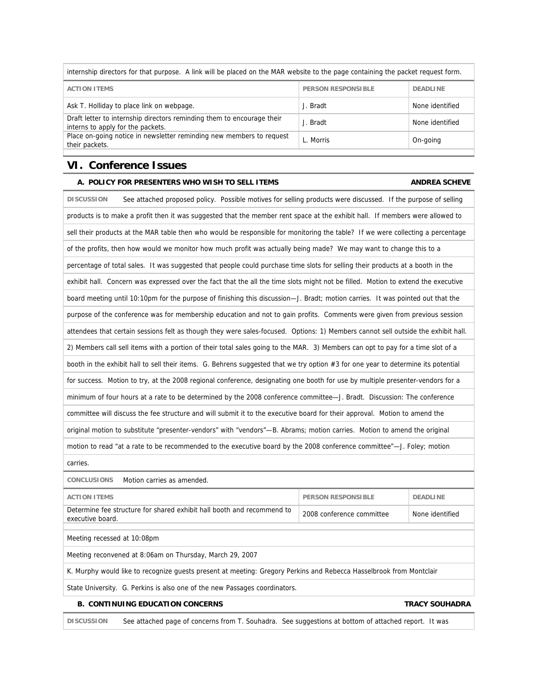| internship directors for that purpose. A link will be placed on the MAR website to the page containing the packet request form. |                           |                 |  |
|---------------------------------------------------------------------------------------------------------------------------------|---------------------------|-----------------|--|
| <b>ACTION ITEMS</b>                                                                                                             | <b>PERSON RESPONSIBLE</b> | <b>DEADLINE</b> |  |
| Ask T. Holliday to place link on webpage.                                                                                       | J. Bradt                  | None identified |  |
| Draft letter to internship directors reminding them to encourage their<br>interns to apply for the packets.                     | J. Bradt                  | None identified |  |
| Place on-going notice in newsletter reminding new members to request<br>their packets.                                          | L. Morris                 | On-going        |  |

# **VI. Conference Issues**

# A. POLICY FOR PRESENTERS WHO WISH TO SELL ITEMS **ANDREA SCHEVE**

| <b>DISCUSSION</b><br>See attached proposed policy. Possible motives for selling products were discussed. If the purpose of selling |                                                                                                                        |  |                                                                                                                                   |  |  |
|------------------------------------------------------------------------------------------------------------------------------------|------------------------------------------------------------------------------------------------------------------------|--|-----------------------------------------------------------------------------------------------------------------------------------|--|--|
| products is to make a profit then it was suggested that the member rent space at the exhibit hall. If members were allowed to      |                                                                                                                        |  |                                                                                                                                   |  |  |
|                                                                                                                                    |                                                                                                                        |  | sell their products at the MAR table then who would be responsible for monitoring the table? If we were collecting a percentage   |  |  |
|                                                                                                                                    |                                                                                                                        |  | of the profits, then how would we monitor how much profit was actually being made? We may want to change this to a                |  |  |
|                                                                                                                                    |                                                                                                                        |  | percentage of total sales. It was suggested that people could purchase time slots for selling their products at a booth in the    |  |  |
|                                                                                                                                    |                                                                                                                        |  | exhibit hall. Concern was expressed over the fact that the all the time slots might not be filled. Motion to extend the executive |  |  |
|                                                                                                                                    |                                                                                                                        |  | board meeting until 10:10pm for the purpose of finishing this discussion-J. Bradt; motion carries. It was pointed out that the    |  |  |
|                                                                                                                                    |                                                                                                                        |  | purpose of the conference was for membership education and not to gain profits. Comments were given from previous session         |  |  |
|                                                                                                                                    |                                                                                                                        |  | attendees that certain sessions felt as though they were sales-focused. Options: 1) Members cannot sell outside the exhibit hall. |  |  |
|                                                                                                                                    |                                                                                                                        |  | 2) Members call sell items with a portion of their total sales going to the MAR. 3) Members can opt to pay for a time slot of a   |  |  |
|                                                                                                                                    |                                                                                                                        |  | booth in the exhibit hall to sell their items. G. Behrens suggested that we try option #3 for one year to determine its potential |  |  |
|                                                                                                                                    |                                                                                                                        |  | for success. Motion to try, at the 2008 regional conference, designating one booth for use by multiple presenter-vendors for a    |  |  |
| minimum of four hours at a rate to be determined by the 2008 conference committee-J. Bradt. Discussion: The conference             |                                                                                                                        |  |                                                                                                                                   |  |  |
| committee will discuss the fee structure and will submit it to the executive board for their approval. Motion to amend the         |                                                                                                                        |  |                                                                                                                                   |  |  |
| original motion to substitute "presenter-vendors" with "vendors"—B. Abrams; motion carries. Motion to amend the original           |                                                                                                                        |  |                                                                                                                                   |  |  |
| motion to read "at a rate to be recommended to the executive board by the 2008 conference committee"-J. Foley; motion              |                                                                                                                        |  |                                                                                                                                   |  |  |
| carries.                                                                                                                           |                                                                                                                        |  |                                                                                                                                   |  |  |
| <b>CONCLUSIONS</b><br>Motion carries as amended.                                                                                   |                                                                                                                        |  |                                                                                                                                   |  |  |
| <b>ACTION ITEMS</b>                                                                                                                | <b>PERSON RESPONSIBLE</b><br><b>DEADLINE</b>                                                                           |  |                                                                                                                                   |  |  |
| executive board.                                                                                                                   | Determine fee structure for shared exhibit hall booth and recommend to<br>2008 conference committee<br>None identified |  |                                                                                                                                   |  |  |
| Meeting recessed at 10:08pm                                                                                                        |                                                                                                                        |  |                                                                                                                                   |  |  |
| Meeting reconvened at 8:06am on Thursday, March 29, 2007                                                                           |                                                                                                                        |  |                                                                                                                                   |  |  |
| K. Murphy would like to recognize guests present at meeting: Gregory Perkins and Rebecca Hasselbrook from Montclair                |                                                                                                                        |  |                                                                                                                                   |  |  |
| State University. G. Perkins is also one of the new Passages coordinators.                                                         |                                                                                                                        |  |                                                                                                                                   |  |  |

# **B. CONTINUING EDUCATION CONCERNS CONCERNS** TRACY SOUHADRA

**DISCUSSION** See attached page of concerns from T. Souhadra. See suggestions at bottom of attached report. It was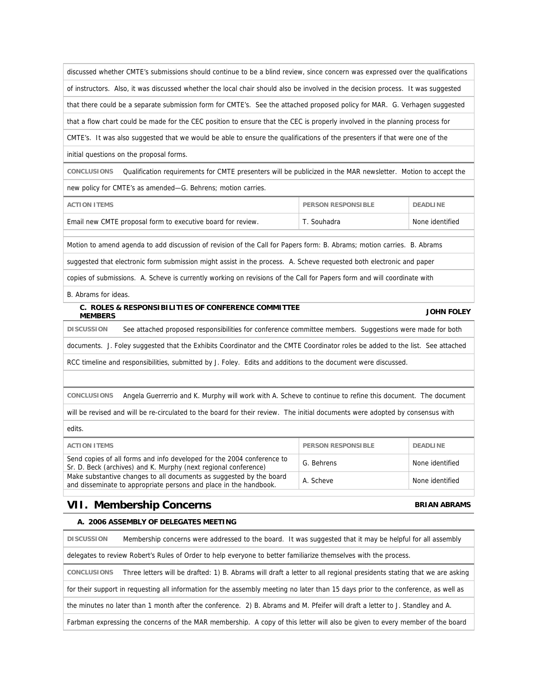discussed whether CMTE's submissions should continue to be a blind review, since concern was expressed over the qualifications of instructors. Also, it was discussed whether the local chair should also be involved in the decision process. It was suggested that there could be a separate submission form for CMTE's. See the attached proposed policy for MAR. G. Verhagen suggested that a flow chart could be made for the CEC position to ensure that the CEC is properly involved in the planning process for CMTE's. It was also suggested that we would be able to ensure the qualifications of the presenters if that were one of the

initial questions on the proposal forms.

**CONCLUSIONS** Qualification requirements for CMTE presenters will be publicized in the MAR newsletter. Motion to accept the new policy for CMTE's as amended—G. Behrens; motion carries.

| ACTION ITEMS                                                | <b>PERSON RESPONSIBLE</b> | <b>DEADLINE</b> |
|-------------------------------------------------------------|---------------------------|-----------------|
| Email new CMTE proposal form to executive board for review. | T. Souhadra               | None identified |

Motion to amend agenda to add discussion of revision of the Call for Papers form: B. Abrams; motion carries. B. Abrams

suggested that electronic form submission might assist in the process. A. Scheve requested both electronic and paper

copies of submissions. A. Scheve is currently working on revisions of the Call for Papers form and will coordinate with

B. Abrams for ideas.

### **C. ROLES & RESPONSIBILITIES OF CONFERENCE COMMITTEE MEMBERS JOHN FOLEY**

**DISCUSSION** See attached proposed responsibilities for conference committee members. Suggestions were made for both

documents. J. Foley suggested that the Exhibits Coordinator and the CMTE Coordinator roles be added to the list. See attached

RCC timeline and responsibilities, submitted by J. Foley. Edits and additions to the document were discussed.

**CONCLUSIONS** Angela Guerrerrio and K. Murphy will work with A. Scheve to continue to refine this document. The document

will be revised and will be re-circulated to the board for their review. The initial documents were adopted by consensus with

edits.

| <b>ACTION ITEMS</b>                                                                                                                       | <b>PERSON RESPONSIBLE</b> | <b>DEADLINE</b> |
|-------------------------------------------------------------------------------------------------------------------------------------------|---------------------------|-----------------|
| Send copies of all forms and info developed for the 2004 conference to<br>Sr. D. Beck (archives) and K. Murphy (next regional conference) | G. Behrens                | None identified |
| Make substantive changes to all documents as suggested by the board<br>and disseminate to appropriate persons and place in the handbook.  | A. Scheve                 | None identified |

# **VII. Membership Concerns BRIAN ABRAMS**

### **A. 2006 ASSEMBLY OF DELEGATES MEETING**

**DISCUSSION** Membership concerns were addressed to the board. It was suggested that it may be helpful for all assembly delegates to review Robert's Rules of Order to help everyone to better familiarize themselves with the process. **CONCLUSIONS** Three letters will be drafted: 1) B. Abrams will draft a letter to all regional presidents stating that we are asking for their support in requesting all information for the assembly meeting no later than 15 days prior to the conference, as well as the minutes no later than 1 month after the conference. 2) B. Abrams and M. Pfeifer will draft a letter to J. Standley and A. Farbman expressing the concerns of the MAR membership. A copy of this letter will also be given to every member of the board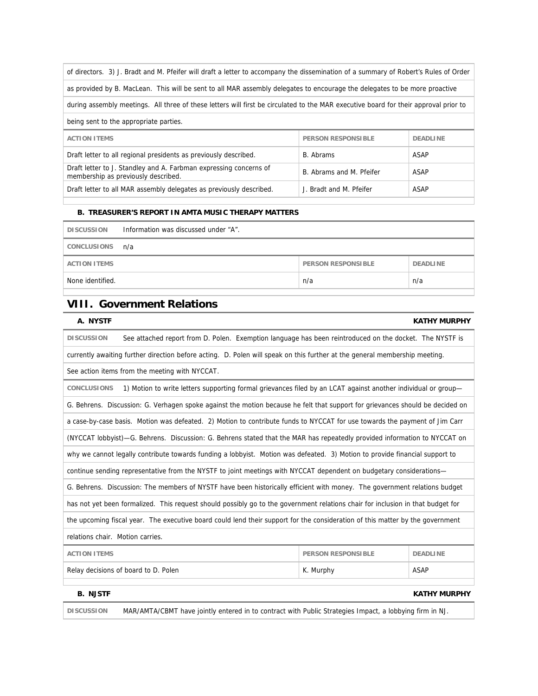of directors. 3) J. Bradt and M. Pfeifer will draft a letter to accompany the dissemination of a summary of Robert's Rules of Order as provided by B. MacLean. This will be sent to all MAR assembly delegates to encourage the delegates to be more proactive during assembly meetings. All three of these letters will first be circulated to the MAR executive board for their approval prior to being sent to the appropriate parties. **ACTION ITEMS PERSON RESPONSIBLE DEADLINE** Draft letter to all regional presidents as previously described. B. Abrams ASAP Draft letter to J. Standley and A. Farbman expressing concerns of Draft letter to J. Standiey and A. Farbinan expressing concerns of B. Abrams and M. Pfeifer ASAP membership as previously described. Draft letter to all MAR assembly delegates as previously described. J. Bradt and M. Pfeifer ASAP

# **B. TREASURER'S REPORT IN AMTA MUSIC THERAPY MATTERS**

| <b>DISCUSSION</b>   | Information was discussed under "A". |                           |                 |
|---------------------|--------------------------------------|---------------------------|-----------------|
| CONCLUSIONS         | n/a                                  |                           |                 |
| <b>ACTION ITEMS</b> |                                      | <b>PERSON RESPONSIBLE</b> | <b>DEADLINE</b> |
| None identified.    |                                      | n/a                       | n/a             |
|                     |                                      |                           |                 |

# **VIII. Government Relations**

# **A. NYSTF KATHY MURPHY**

| See attached report from D. Polen. Exemption language has been reintroduced on the docket. The NYSTF is<br><b>DISCUSSION</b>        |                                                                                                                     |             |  |  |
|-------------------------------------------------------------------------------------------------------------------------------------|---------------------------------------------------------------------------------------------------------------------|-------------|--|--|
| currently awaiting further direction before acting. D. Polen will speak on this further at the general membership meeting.          |                                                                                                                     |             |  |  |
| See action items from the meeting with NYCCAT.                                                                                      |                                                                                                                     |             |  |  |
| 1) Motion to write letters supporting formal grievances filed by an LCAT against another individual or group—<br><b>CONCLUSIONS</b> |                                                                                                                     |             |  |  |
| G. Behrens. Discussion: G. Verhagen spoke against the motion because he felt that support for grievances should be decided on       |                                                                                                                     |             |  |  |
| a case-by-case basis. Motion was defeated. 2) Motion to contribute funds to NYCCAT for use towards the payment of Jim Carr          |                                                                                                                     |             |  |  |
| (NYCCAT lobbyist)-G. Behrens. Discussion: G. Behrens stated that the MAR has repeatedly provided information to NYCCAT on           |                                                                                                                     |             |  |  |
| why we cannot legally contribute towards funding a lobbyist. Motion was defeated. 3) Motion to provide financial support to         |                                                                                                                     |             |  |  |
|                                                                                                                                     | continue sending representative from the NYSTF to joint meetings with NYCCAT dependent on budgetary considerations— |             |  |  |
| G. Behrens. Discussion: The members of NYSTF have been historically efficient with money. The government relations budget           |                                                                                                                     |             |  |  |
| has not yet been formalized. This request should possibly go to the government relations chair for inclusion in that budget for     |                                                                                                                     |             |  |  |
| the upcoming fiscal year. The executive board could lend their support for the consideration of this matter by the government       |                                                                                                                     |             |  |  |
| relations chair. Motion carries.                                                                                                    |                                                                                                                     |             |  |  |
| <b>ACTION ITEMS</b><br><b>PERSON RESPONSIBLE</b><br><b>DEADLINE</b>                                                                 |                                                                                                                     |             |  |  |
| Relay decisions of board to D. Polen                                                                                                | K. Murphy                                                                                                           | <b>ASAP</b> |  |  |
|                                                                                                                                     |                                                                                                                     |             |  |  |
| <b>B. NJSTF</b><br><b>KATHY MURPHY</b>                                                                                              |                                                                                                                     |             |  |  |
|                                                                                                                                     |                                                                                                                     |             |  |  |

**DISCUSSION** MAR/AMTA/CBMT have jointly entered in to contract with Public Strategies Impact, a lobbying firm in NJ.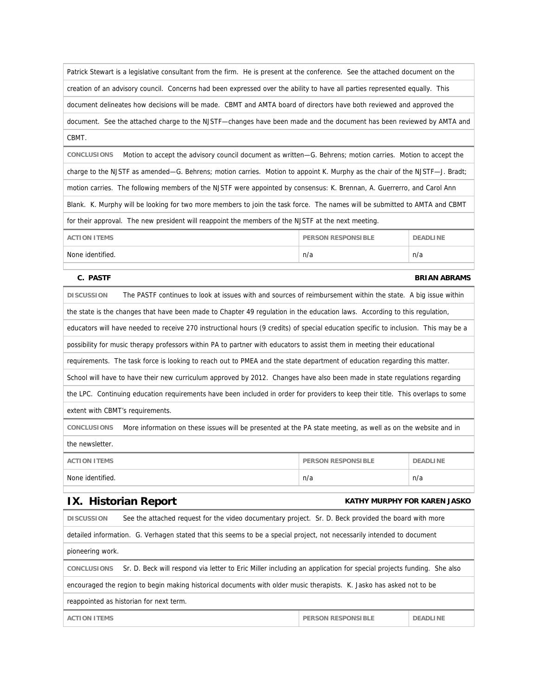Patrick Stewart is a legislative consultant from the firm. He is present at the conference. See the attached document on the creation of an advisory council. Concerns had been expressed over the ability to have all parties represented equally. This document delineates how decisions will be made. CBMT and AMTA board of directors have both reviewed and approved the document. See the attached charge to the NJSTF—changes have been made and the document has been reviewed by AMTA and CBMT.

**CONCLUSIONS** Motion to accept the advisory council document as written—G. Behrens; motion carries. Motion to accept the charge to the NJSTF as amended—G. Behrens; motion carries. Motion to appoint K. Murphy as the chair of the NJSTF—J. Bradt; motion carries. The following members of the NJSTF were appointed by consensus: K. Brennan, A. Guerrerro, and Carol Ann Blank. K. Murphy will be looking for two more members to join the task force. The names will be submitted to AMTA and CBMT for their approval. The new president will reappoint the members of the NJSTF at the next meeting.

| <b>ACTION ITEMS</b> | <b>PERSON RESPONSIBLE</b> | <b>DEADLINE</b> |
|---------------------|---------------------------|-----------------|
| None identified.    | n/a                       | n/a             |
|                     |                           |                 |

### **C. PASTF** BRIAN ABRAMS

| <b>DISCUSSION</b>                                                                                                                  | The PASTF continues to look at issues with and sources of reimbursement within the state. A big issue within                        |                           |                 |
|------------------------------------------------------------------------------------------------------------------------------------|-------------------------------------------------------------------------------------------------------------------------------------|---------------------------|-----------------|
|                                                                                                                                    | the state is the changes that have been made to Chapter 49 regulation in the education laws. According to this regulation,          |                           |                 |
|                                                                                                                                    | educators will have needed to receive 270 instructional hours (9 credits) of special education specific to inclusion. This may be a |                           |                 |
|                                                                                                                                    | possibility for music therapy professors within PA to partner with educators to assist them in meeting their educational            |                           |                 |
|                                                                                                                                    | requirements. The task force is looking to reach out to PMEA and the state department of education regarding this matter.           |                           |                 |
| School will have to have their new curriculum approved by 2012. Changes have also been made in state regulations regarding         |                                                                                                                                     |                           |                 |
| the LPC. Continuing education requirements have been included in order for providers to keep their title. This overlaps to some    |                                                                                                                                     |                           |                 |
| extent with CBMT's requirements.                                                                                                   |                                                                                                                                     |                           |                 |
| <b>CONCLUSIONS</b><br>More information on these issues will be presented at the PA state meeting, as well as on the website and in |                                                                                                                                     |                           |                 |
| the newsletter.                                                                                                                    |                                                                                                                                     |                           |                 |
| <b>ACTION ITEMS</b>                                                                                                                |                                                                                                                                     | <b>PERSON RESPONSIBLE</b> | <b>DEADLINE</b> |
| None identified.                                                                                                                   |                                                                                                                                     | n/a                       | n/a             |

# **IX.** Historian Report **KATHY MURPHY FOR KAREN JASKO**

| <b>DISCUSSION</b>                                                                                                                        | See the attached request for the video documentary project. Sr. D. Beck provided the board with more                   |                           |                 |  |
|------------------------------------------------------------------------------------------------------------------------------------------|------------------------------------------------------------------------------------------------------------------------|---------------------------|-----------------|--|
|                                                                                                                                          | detailed information. G. Verhagen stated that this seems to be a special project, not necessarily intended to document |                           |                 |  |
|                                                                                                                                          |                                                                                                                        |                           |                 |  |
| pioneering work.                                                                                                                         |                                                                                                                        |                           |                 |  |
| Sr. D. Beck will respond via letter to Eric Miller including an application for special projects funding. She also<br><b>CONCLUSIONS</b> |                                                                                                                        |                           |                 |  |
| encouraged the region to begin making historical documents with older music therapists. K. Jasko has asked not to be                     |                                                                                                                        |                           |                 |  |
| reappointed as historian for next term.                                                                                                  |                                                                                                                        |                           |                 |  |
| <b>ACTION ITEMS</b>                                                                                                                      |                                                                                                                        | <b>PERSON RESPONSIBLE</b> | <b>DEADLINE</b> |  |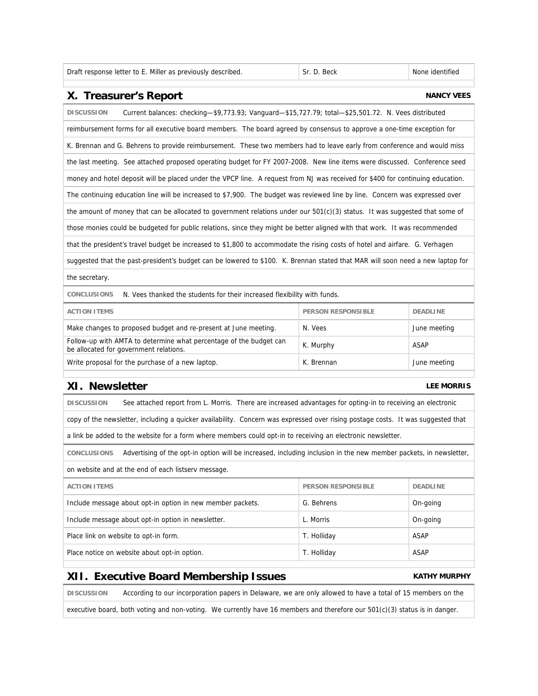| Draft response letter to E. Miller as previously described. |  |  |  |  |  |  |
|-------------------------------------------------------------|--|--|--|--|--|--|
|-------------------------------------------------------------|--|--|--|--|--|--|

# Sr. D. Beck None identified.

# **X. Treasurer's Report Construction Construction Construction Construction Construction Construction Construction Construction Construction Construction Construction Construction Construction Construction Construction Cons**

| <b>DISCUSSION</b><br>Current balances: checking-\$9,773.93; Vanguard-\$15,727.79; total-\$25,501.72. N. Vees distributed       |  |  |  |
|--------------------------------------------------------------------------------------------------------------------------------|--|--|--|
| reimbursement forms for all executive board members. The board agreed by consensus to approve a one-time exception for         |  |  |  |
| K. Brennan and G. Behrens to provide reimbursement. These two members had to leave early from conference and would miss        |  |  |  |
| the last meeting. See attached proposed operating budget for FY 2007-2008. New line items were discussed. Conference seed      |  |  |  |
| money and hotel deposit will be placed under the VPCP line. A request from NJ was received for \$400 for continuing education. |  |  |  |
| The continuing education line will be increased to \$7,900. The budget was reviewed line by line. Concern was expressed over   |  |  |  |
| the amount of money that can be allocated to government relations under our $501(c)(3)$ status. It was suggested that some of  |  |  |  |
| those monies could be budgeted for public relations, since they might be better aligned with that work. It was recommended     |  |  |  |
| that the president's travel budget be increased to \$1,800 to accommodate the rising costs of hotel and airfare. G. Verhagen   |  |  |  |
| suggested that the past-president's budget can be lowered to \$100. K. Brennan stated that MAR will soon need a new laptop for |  |  |  |
| the secretary.                                                                                                                 |  |  |  |
| <b>CONCLUSIONS</b><br>N. Vees thanked the students for their increased flexibility with funds.                                 |  |  |  |
| <b>ACTION ITEMS</b><br><b>PERSON RESPONSIBLE</b><br><b>DEADLINE</b>                                                            |  |  |  |
|                                                                                                                                |  |  |  |

| Make changes to proposed budget and re-present at June meeting.                                              | N. Vees    | June meeting |
|--------------------------------------------------------------------------------------------------------------|------------|--------------|
| Follow-up with AMTA to determine what percentage of the budget can<br>be allocated for government relations. | K. Murphy  | ASAP         |
| Write proposal for the purchase of a new laptop.                                                             | K. Brennan | June meeting |

# **XI.** Newsletter **LEE MORRIS**

**DISCUSSION** See attached report from L. Morris. There are increased advantages for opting-in to receiving an electronic copy of the newsletter, including a quicker availability. Concern was expressed over rising postage costs. It was suggested that a link be added to the website for a form where members could opt-in to receiving an electronic newsletter.

**CONCLUSIONS** Advertising of the opt-in option will be increased, including inclusion in the new member packets, in newsletter,

on website and at the end of each listserv message.

| <b>ACTION ITEMS</b>                                        | <b>PERSON RESPONSIBLE</b> | <b>DEADLINE</b> |
|------------------------------------------------------------|---------------------------|-----------------|
| Include message about opt-in option in new member packets. | G. Behrens                | On-going        |
| Include message about opt-in option in newsletter.         | L. Morris                 | On-going        |
| Place link on website to opt-in form.                      | T. Holliday               | ASAP            |
| Place notice on website about opt-in option.               | T. Holliday               | <b>ASAP</b>     |
|                                                            |                           |                 |

# **XII. Executive Board Membership Issues** KATHY MURPHY

**DISCUSSION** According to our incorporation papers in Delaware, we are only allowed to have a total of 15 members on the

executive board, both voting and non-voting. We currently have 16 members and therefore our 501(c)(3) status is in danger.